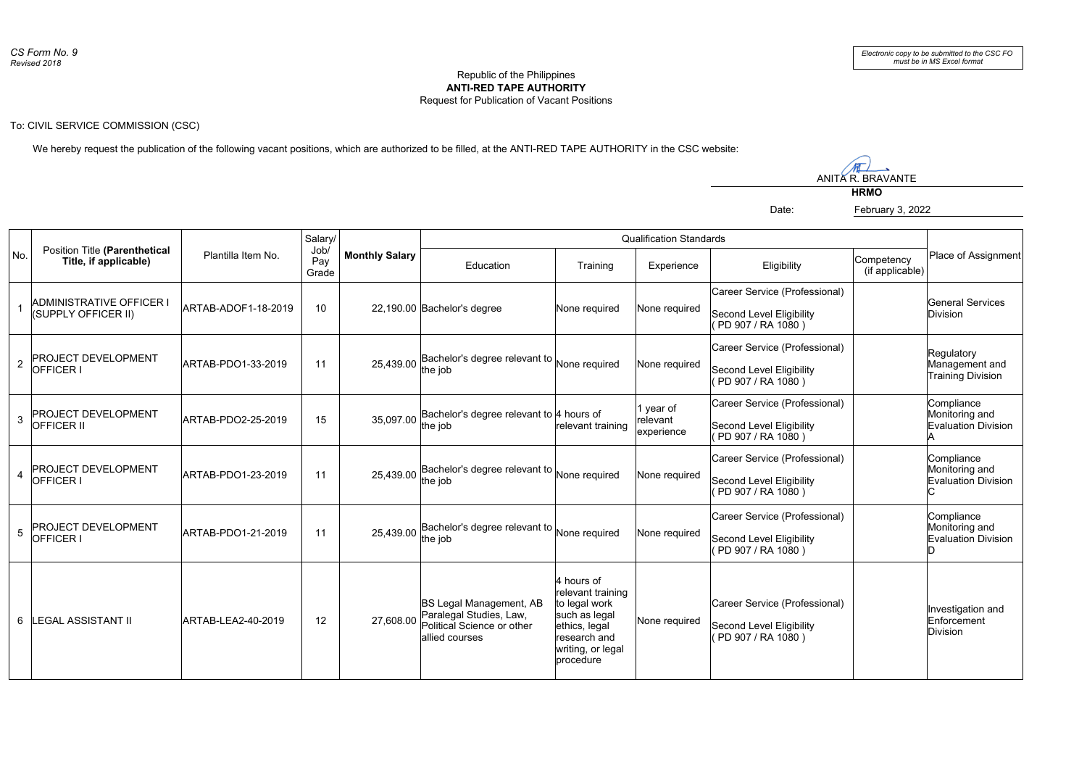## Republic of the Philippines **ANTI-RED TAPE AUTHORITY** Request for Publication of Vacant Positions

To: CIVIL SERVICE COMMISSION (CSC)

We hereby request the publication of the following vacant positions, which are authorized to be filled, at the ANTI-RED TAPE AUTHORITY in the CSC website:

 $\sqrt{n}$ ANITA R. BRAVANTE

**HRMO**

Date: February 3, 2022

No. **Position Title (Parenthetical** Plantilla Item No. **No. 1900/Monthly Salary** Qualification Standards Place of Assignment Education | Training | Experience | Eligibility 1 ADMINISTRATIVE OFFICERT ARTAB-ADOF1-18-2019 10 22.190.00 Bachelor's degree None required None required  $\frac{1}{2}$  PROJECT DEVELOPMENT  $\frac{1}{2}$  ARTAB-PDO1-33-2019  $\frac{1}{2}$  11  $\frac{1}{2}$  25.439.00 Bachelor's degree relevant to None required None required  $3 \overline{\smash{\big)}\xspace}$   $\overline{\smash{\big)}\xspace}$   $\overline{\smash{\big)}\xspace}$   $\overline{\smash{\big)}\xspace}$   $\overline{\smash{\big)}\xspace}$   $\overline{\smash{\big)}\xspace}$   $\overline{\smash{\big)}\xspace}$   $\overline{\smash{\big)}\xspace}$   $\overline{\smash{\big)}\xspace}$   $\overline{\smash{\big)}\xspace}$   $\overline{\smash{\big)}\xspace}$   $\overline{\smash{\big)}\xspace}$   $\overline{\smash{\big)}\xspace}$   $\overline{\smash{\big)}\x$ PROJECT DEVELOPMENT  $\parallel$  ARTAB-PDO1-23-2019 | 11 | 25.439.00 Bachelor's degree relevant to None required None required FROJECT DEVELOPMENT  $\parallel$  ARTAB-PDO1-21-2019 | 11 | 25.439.00 Bachelor's degree relevant to None required None required 6 LEGAL ASSISTANT II ARTAB-LEA2-40-2019 12 27,608.00 None required Paralegal Studies, Law, Position Title **(Parenthetical Title, if applicable)** Salary/ Job/ Pay Grade **Competency**  (if applicable) ADMINISTRATIVE OFFICER I (SUPPLY OFFICER II) Career Service (Professional) Second Level Eligibility ( PD 907 / RA 1080 ) General Services Division OFFICER I Bachelor's degree relevant to the job Career Service (Professional) Second Level Eligibility ( PD 907 / RA 1080 ) Regulatory Management and Training Division PROJECT DEVELOPMENT OFFICER II Bachelor's degree relevant to 4 hours of 35,097.00 | Bacrier relevant training 1 year of relevant experience Career Service (Professional) Second Level Eligibility ( PD 907 / RA 1080 ) Compliance Monitoring and Evaluation Division A **PROJECT DEVELOPMENT** OFFICER I the job Career Service (Professional) Second Level Eligibility ( PD 907 / RA 1080 ) Compliance Monitoring and Evaluation Division C PROJECT DEVELOPMENT OFFICER I the job Career Service (Professional) Second Level Eligibility ( PD 907 / RA 1080 ) Compliance Monitoring and Evaluation Division D BS Legal Management, AB Political Science or other allied courses 4 hours of relevant training to legal work such as legal ethics, legal research and writing, or legal procedure Career Service (Professional) Second Level Eligibility ( PD 907 / RA 1080 ) Investigation and Enforcement Division